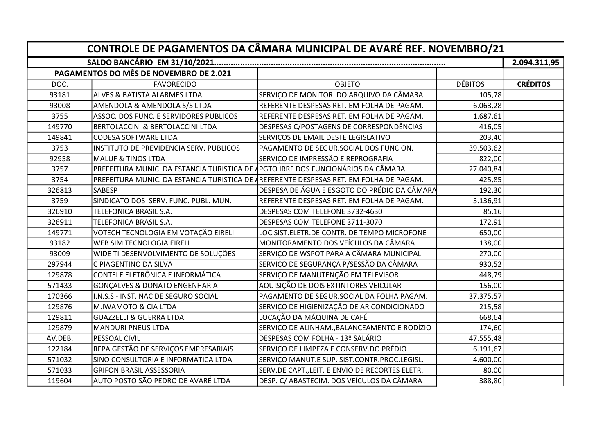| CONTROLE DE PAGAMENTOS DA CÂMARA MUNICIPAL DE AVARÉ REF. NOVEMBRO/21 |                                                                                  |                                                                                        |                |                 |  |  |  |
|----------------------------------------------------------------------|----------------------------------------------------------------------------------|----------------------------------------------------------------------------------------|----------------|-----------------|--|--|--|
|                                                                      |                                                                                  |                                                                                        |                |                 |  |  |  |
|                                                                      | PAGAMENTOS DO MÊS DE NOVEMBRO DE 2.021                                           |                                                                                        |                |                 |  |  |  |
| DOC.                                                                 | <b>FAVORECIDO</b>                                                                | <b>OBJETO</b>                                                                          | <b>DÉBITOS</b> | <b>CRÉDITOS</b> |  |  |  |
| 93181                                                                | ALVES & BATISTA ALARMES LTDA                                                     | SERVIÇO DE MONITOR. DO ARQUIVO DA CÂMARA                                               | 105,78         |                 |  |  |  |
| 93008                                                                | <b>AMENDOLA &amp; AMENDOLA S/S LTDA</b>                                          | REFERENTE DESPESAS RET. EM FOLHA DE PAGAM.                                             | 6.063,28       |                 |  |  |  |
| 3755                                                                 | ASSOC. DOS FUNC. E SERVIDORES PUBLICOS                                           | REFERENTE DESPESAS RET. EM FOLHA DE PAGAM.                                             | 1.687,61       |                 |  |  |  |
| 149770                                                               | <b>BERTOLACCINI &amp; BERTOLACCINI LTDA</b>                                      | DESPESAS C/POSTAGENS DE CORRESPONDÊNCIAS                                               | 416,05         |                 |  |  |  |
| 149841                                                               | CODESA SOFTWARE LTDA                                                             | SERVIÇOS DE EMAIL DESTE LEGISLATIVO                                                    | 203,40         |                 |  |  |  |
| 3753                                                                 | INSTITUTO DE PREVIDENCIA SERV. PUBLICOS                                          | PAGAMENTO DE SEGUR.SOCIAL DOS FUNCION.                                                 | 39.503,62      |                 |  |  |  |
| 92958                                                                | <b>MALUF &amp; TINOS LTDA</b>                                                    | SERVIÇO DE IMPRESSÃO E REPROGRAFIA                                                     | 822,00         |                 |  |  |  |
| 3757                                                                 | PREFEITURA MUNIC. DA ESTANCIA TURISTICA DE ÁPGTO IRRF DOS FUNCIONÁRIOS DA CÂMARA |                                                                                        | 27.040,84      |                 |  |  |  |
| 3754                                                                 |                                                                                  | PREFEITURA MUNIC. DA ESTANCIA TURISTICA DE AREFERENTE DESPESAS RET. EM FOLHA DE PAGAM. | 425,85         |                 |  |  |  |
| 326813                                                               | <b>SABESP</b>                                                                    | DESPESA DE ÁGUA E ESGOTO DO PRÉDIO DA CÂMARA                                           | 192,30         |                 |  |  |  |
| 3759                                                                 | SINDICATO DOS SERV. FUNC. PUBL. MUN.                                             | REFERENTE DESPESAS RET. EM FOLHA DE PAGAM.                                             | 3.136,91       |                 |  |  |  |
| 326910                                                               | TELEFONICA BRASIL S.A.                                                           | DESPESAS COM TELEFONE 3732-4630                                                        | 85,16          |                 |  |  |  |
| 326911                                                               | TELEFONICA BRASIL S.A.                                                           | DESPESAS COM TELEFONE 3711-3070                                                        | 172,91         |                 |  |  |  |
| 149771                                                               | VOTECH TECNOLOGIA EM VOTAÇÃO EIRELI                                              | LOC.SIST.ELETR.DE CONTR. DE TEMPO MICROFONE                                            | 650,00         |                 |  |  |  |
| 93182                                                                | WEB SIM TECNOLOGIA EIRELI                                                        | MONITORAMENTO DOS VEÍCULOS DA CÂMARA                                                   | 138,00         |                 |  |  |  |
| 93009                                                                | WIDE TI DESENVOLVIMENTO DE SOLUÇÕES                                              | SERVIÇO DE WSPOT PARA A CÂMARA MUNICIPAL                                               | 270,00         |                 |  |  |  |
| 297944                                                               | C PIAGENTINO DA SILVA                                                            | SERVIÇO DE SEGURANÇA P/SESSÃO DA CÂMARA                                                | 930,52         |                 |  |  |  |
| 129878                                                               | CONTELE ELETRÔNICA E INFORMÁTICA                                                 | SERVIÇO DE MANUTENÇÃO EM TELEVISOR                                                     | 448,79         |                 |  |  |  |
| 571433                                                               | GONÇALVES & DONATO ENGENHARIA                                                    | AQUISIÇÃO DE DOIS EXTINTORES VEICULAR                                                  | 156,00         |                 |  |  |  |
| 170366                                                               | I.N.S.S - INST. NAC DE SEGURO SOCIAL                                             | PAGAMENTO DE SEGUR.SOCIAL DA FOLHA PAGAM.                                              | 37.375,57      |                 |  |  |  |
| 129876                                                               | M.IWAMOTO & CIA LTDA                                                             | SERVIÇO DE HIGIENIZAÇÃO DE AR CONDICIONADO                                             | 215,58         |                 |  |  |  |
| 129811                                                               | <b>GUAZZELLI &amp; GUERRA LTDA</b>                                               | LOCAÇÃO DA MÁQUINA DE CAFÉ                                                             | 668,64         |                 |  |  |  |
| 129879                                                               | MANDURI PNEUS LTDA                                                               | SERVIÇO DE ALINHAM., BALANCEAMENTO E RODÍZIO                                           | 174,60         |                 |  |  |  |
| AV.DEB.                                                              | PESSOAL CIVIL                                                                    | DESPESAS COM FOLHA - 13º SALÁRIO                                                       | 47.555,48      |                 |  |  |  |
| 122184                                                               | RFPA GESTÃO DE SERVIÇOS EMPRESARIAIS                                             | SERVIÇO DE LIMPEZA E CONSERV.DO PRÉDIO                                                 | 6.191,67       |                 |  |  |  |
| 571032                                                               | SINO CONSULTORIA E INFORMATICA LTDA                                              | SERVIÇO MANUT.E SUP. SIST.CONTR.PROC.LEGISL.                                           | 4.600,00       |                 |  |  |  |
| 571033                                                               | <b>GRIFON BRASIL ASSESSORIA</b>                                                  | SERV.DE CAPT., LEIT. E ENVIO DE RECORTES ELETR.                                        | 80,00          |                 |  |  |  |
| 119604                                                               | AUTO POSTO SÃO PEDRO DE AVARÉ LTDA                                               | DESP. C/ ABASTECIM. DOS VEÍCULOS DA CÂMARA                                             | 388,80         |                 |  |  |  |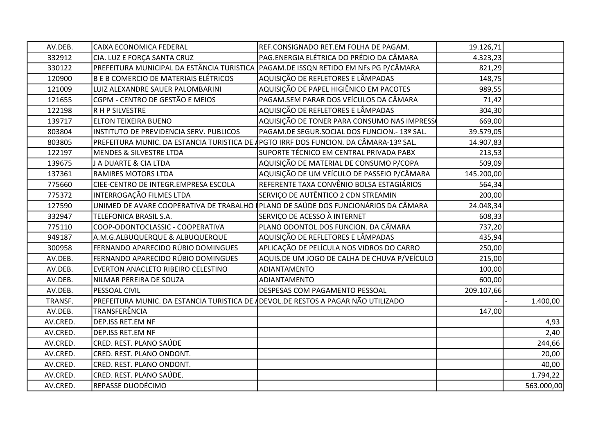| AV.DEB.  | CAIXA ECONOMICA FEDERAL                                                               | REF.CONSIGNADO RET.EM FOLHA DE PAGAM.                                              | 19.126,71  |            |
|----------|---------------------------------------------------------------------------------------|------------------------------------------------------------------------------------|------------|------------|
| 332912   | CIA. LUZ E FORÇA SANTA CRUZ                                                           | PAG.ENERGIA ELÉTRICA DO PRÉDIO DA CÂMARA                                           | 4.323,23   |            |
| 330122   | PREFEITURA MUNICIPAL DA ESTÂNCIA TURISTICA (PAGAM.DE ISSQN RETIDO EM NFs PG P/CÂMARA  |                                                                                    | 821,29     |            |
| 120900   | B E B COMERCIO DE MATERIAIS ELÉTRICOS                                                 | AQUISIÇÃO DE REFLETORES E LÂMPADAS                                                 | 148,75     |            |
| 121009   | LUIZ ALEXANDRE SAUER PALOMBARINI                                                      | AQUISIÇÃO DE PAPEL HIGIÊNICO EM PACOTES                                            | 989,55     |            |
| 121655   | CGPM - CENTRO DE GESTÃO E MEIOS                                                       | PAGAM.SEM PARAR DOS VEÍCULOS DA CÂMARA                                             | 71,42      |            |
| 122198   | R H P SILVESTRE                                                                       | AQUISIÇÃO DE REFLETORES E LÂMPADAS                                                 | 304,30     |            |
| 139717   | ELTON TEIXEIRA BUENO                                                                  | AQUISIÇÃO DE TONER PARA CONSUMO NAS IMPRESSO                                       | 669,00     |            |
| 803804   | INSTITUTO DE PREVIDENCIA SERV. PUBLICOS                                               | PAGAM.DE SEGUR.SOCIAL DOS FUNCION.- 13º SAL.                                       | 39.579,05  |            |
| 803805   | PREFEITURA MUNIC. DA ESTANCIA TURISTICA DE APGTO IRRF DOS FUNCION. DA CÂMARA-13º SAL. |                                                                                    | 14.907,83  |            |
| 122197   | <b>MENDES &amp; SILVESTRE LTDA</b>                                                    | SUPORTE TÉCNICO EM CENTRAL PRIVADA PABX                                            | 213,53     |            |
| 139675   | <b>J A DUARTE &amp; CIA LTDA</b>                                                      | AQUISIÇÃO DE MATERIAL DE CONSUMO P/COPA                                            | 509,09     |            |
| 137361   | RAMIRES MOTORS LTDA                                                                   | AQUISIÇÃO DE UM VEÍCULO DE PASSEIO P/CÂMARA                                        | 145.200,00 |            |
| 775660   | CIEE-CENTRO DE INTEGR.EMPRESA ESCOLA                                                  | REFERENTE TAXA CONVÊNIO BOLSA ESTAGIÁRIOS                                          | 564,34     |            |
| 775372   | INTERROGAÇÃO FILMES LTDA                                                              | SERVIÇO DE AUTÊNTICO 2 CDN STREAMIN                                                | 200,00     |            |
| 127590   |                                                                                       | UNIMED DE AVARE COOPERATIVA DE TRABALHO (PLANO DE SAÚDE DOS FUNCIONÁRIOS DA CÂMARA | 24.048,34  |            |
| 332947   | TELEFONICA BRASIL S.A.                                                                | SERVIÇO DE ACESSO À INTERNET                                                       | 608,33     |            |
| 775110   | COOP-ODONTOCLASSIC - COOPERATIVA                                                      | PLANO ODONTOL.DOS FUNCION. DA CÂMARA                                               | 737,20     |            |
| 949187   | A.M.G.ALBUQUERQUE & ALBUQUERQUE                                                       | AQUISIÇÃO DE REFLETORES E LÂMPADAS                                                 | 435,94     |            |
| 300958   | FERNANDO APARECIDO RÚBIO DOMINGUES                                                    | APLICAÇÃO DE PELÍCULA NOS VIDROS DO CARRO                                          | 250,00     |            |
| AV.DEB.  | FERNANDO APARECIDO RÚBIO DOMINGUES                                                    | AQUIS.DE UM JOGO DE CALHA DE CHUVA P/VEÍCULO                                       | 215,00     |            |
| AV.DEB.  | EVERTON ANACLETO RIBEIRO CELESTINO                                                    | <b>ADIANTAMENTO</b>                                                                | 100,00     |            |
| AV.DEB.  | NILMAR PEREIRA DE SOUZA                                                               | ADIANTAMENTO                                                                       | 600,00     |            |
| AV.DEB.  | PESSOAL CIVIL                                                                         | DESPESAS COM PAGAMENTO PESSOAL                                                     | 209.107,66 |            |
| TRANSF.  | PREFEITURA MUNIC. DA ESTANCIA TURISTICA DE ADEVOL.DE RESTOS A PAGAR NÃO UTILIZADO     |                                                                                    |            | 1.400,00   |
| AV.DEB.  | TRANSFERÊNCIA                                                                         |                                                                                    | 147,00     |            |
| AV.CRED. | DEP.ISS RET.EM NF                                                                     |                                                                                    |            | 4,93       |
| AV.CRED. | DEP.ISS RET.EM NF                                                                     |                                                                                    |            | 2,40       |
| AV.CRED. | CRED. REST. PLANO SAÚDE                                                               |                                                                                    |            | 244,66     |
| AV.CRED. | CRED. REST. PLANO ONDONT.                                                             |                                                                                    |            | 20,00      |
| AV.CRED. | CRED. REST. PLANO ONDONT.                                                             |                                                                                    |            | 40,00      |
| AV.CRED. | CRED. REST. PLANO SAÚDE.                                                              |                                                                                    |            | 1.794,22   |
| AV.CRED. | REPASSE DUODÉCIMO                                                                     |                                                                                    |            | 563.000,00 |